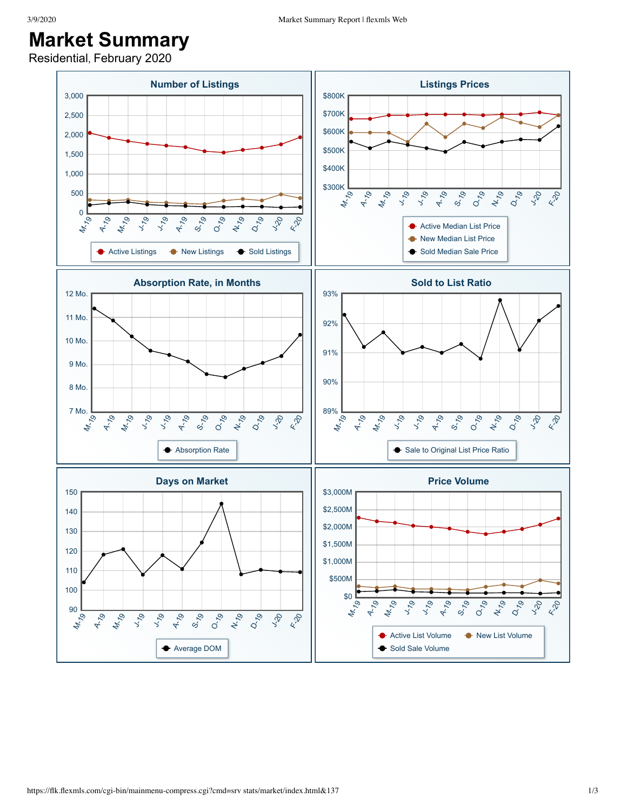## **Market Summary**

Residential, February 2020

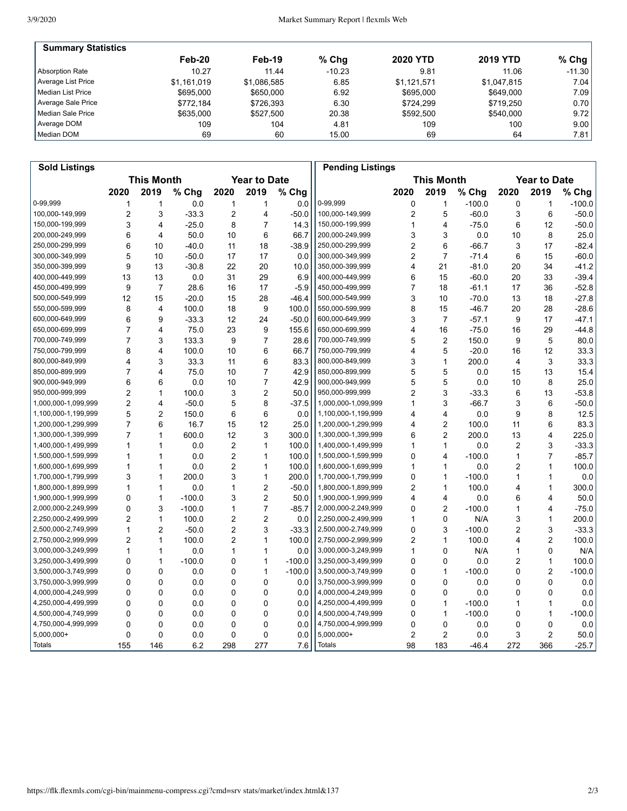| <b>Summary Statistics</b> |             |             |          |                 |                 |                   |
|---------------------------|-------------|-------------|----------|-----------------|-----------------|-------------------|
|                           | $Feb-20$    | $Feb-19$    | $%$ Chg  | <b>2020 YTD</b> | <b>2019 YTD</b> | % Chg $ $         |
| Absorption Rate           | 10.27       | 11.44       | $-10.23$ | 9.81            | 11.06           | $-11.30$          |
| Average List Price        | \$1.161.019 | \$1.086.585 | 6.85     | \$1.121.571     | \$1.047.815     | 7.04              |
| l Median List Price       | \$695,000   | \$650,000   | 6.92     | \$695,000       | \$649,000       | 7.09 <sub>l</sub> |
| Average Sale Price        | \$772.184   | \$726.393   | 6.30     | \$724.299       | \$719.250       | 0.70              |
| Median Sale Price         | \$635,000   | \$527.500   | 20.38    | \$592.500       | \$540,000       | 9.72              |
| Average DOM               | 109         | 104         | 4.81     | 109             | 100             | 9.00              |
| Median DOM                | 69          | 60          | 15.00    | 69              | 64              | 7.81              |

| <b>Sold Listings</b> |                |                   |          |                |                     |          | <b>Pending Listings</b> |                |                         |          |                |                     |          |
|----------------------|----------------|-------------------|----------|----------------|---------------------|----------|-------------------------|----------------|-------------------------|----------|----------------|---------------------|----------|
|                      |                | <b>This Month</b> |          |                | <b>Year to Date</b> |          |                         |                | <b>This Month</b>       |          |                | <b>Year to Date</b> |          |
|                      | 2020           | 2019              | % Chg    | 2020           | 2019                | % Chg    |                         | 2020           | 2019                    | $%$ Chg  | 2020           | 2019                | % Chg    |
| 0-99,999             | 1              | 1                 | 0.0      | 1              | 1                   | 0.0      | 0-99,999                | 0              | $\mathbf{1}$            | $-100.0$ | 0              | 1                   | $-100.0$ |
| 100,000-149,999      | 2              | 3                 | $-33.3$  | $\overline{2}$ | 4                   | $-50.0$  | 100,000-149,999         | $\overline{c}$ | 5                       | $-60.0$  | 3              | 6                   | $-50.0$  |
| 150,000-199,999      | 3              | 4                 | $-25.0$  | 8              | $\overline{7}$      | 14.3     | 150,000-199,999         | 1              | 4                       | $-75.0$  | 6              | 12                  | $-50.0$  |
| 200,000-249,999      | 6              | 4                 | 50.0     | 10             | 6                   | 66.7     | 200,000-249,999         | 3              | 3                       | 0.0      | 10             | 8                   | 25.0     |
| 250,000-299,999      | 6              | 10                | $-40.0$  | 11             | 18                  | $-38.9$  | 250,000-299,999         | $\overline{c}$ | 6                       | $-66.7$  | 3              | 17                  | $-82.4$  |
| 300,000-349,999      | 5              | 10                | $-50.0$  | 17             | 17                  | 0.0      | 300,000-349,999         | $\overline{c}$ | $\overline{7}$          | $-71.4$  | 6              | 15                  | $-60.0$  |
| 350,000-399,999      | 9              | 13                | $-30.8$  | 22             | 20                  | 10.0     | 350,000-399,999         | 4              | 21                      | $-81.0$  | 20             | 34                  | $-41.2$  |
| 400,000-449,999      | 13             | 13                | 0.0      | 31             | 29                  | 6.9      | 400,000-449,999         | 6              | 15                      | $-60.0$  | 20             | 33                  | $-39.4$  |
| 450,000-499,999      | 9              | $\overline{7}$    | 28.6     | 16             | 17                  | $-5.9$   | 450,000-499,999         | 7              | 18                      | $-61.1$  | 17             | 36                  | $-52.8$  |
| 500,000-549,999      | 12             | 15                | $-20.0$  | 15             | 28                  | $-46.4$  | 500,000-549,999         | 3              | 10                      | $-70.0$  | 13             | 18                  | $-27.8$  |
| 550,000-599,999      | 8              | 4                 | 100.0    | 18             | 9                   | 100.0    | 550,000-599,999         | 8              | 15                      | $-46.7$  | 20             | 28                  | $-28.6$  |
| 600,000-649,999      | 6              | 9                 | $-33.3$  | 12             | 24                  | $-50.0$  | 600,000-649,999         | 3              | $\overline{7}$          | $-57.1$  | 9              | 17                  | $-47.1$  |
| 650,000-699,999      | $\overline{7}$ | 4                 | 75.0     | 23             | 9                   | 155.6    | 650,000-699,999         | 4              | 16                      | $-75.0$  | 16             | 29                  | $-44.8$  |
| 700,000-749,999      | 7              | 3                 | 133.3    | 9              | 7                   | 28.6     | 700,000-749,999         | 5              | $\overline{2}$          | 150.0    | 9              | 5                   | 80.0     |
| 750,000-799,999      | 8              | 4                 | 100.0    | 10             | 6                   | 66.7     | 750,000-799,999         | 4              | 5                       | $-20.0$  | 16             | 12                  | 33.3     |
| 800,000-849,999      | 4              | 3                 | 33.3     | 11             | 6                   | 83.3     | 800,000-849,999         | 3              | $\mathbf{1}$            | 200.0    | 4              | 3                   | 33.3     |
| 850,000-899,999      | $\overline{7}$ | 4                 | 75.0     | 10             | $\overline{7}$      | 42.9     | 850,000-899,999         | 5              | 5                       | 0.0      | 15             | 13                  | 15.4     |
| 900,000-949,999      | 6              | 6                 | 0.0      | 10             | 7                   | 42.9     | 900,000-949,999         | 5              | 5                       | 0.0      | 10             | 8                   | 25.0     |
| 950,000-999,999      | $\overline{2}$ | $\mathbf{1}$      | 100.0    | 3              | $\overline{2}$      | 50.0     | 950,000-999,999         | 2              | 3                       | $-33.3$  | 6              | 13                  | $-53.8$  |
| 1,000,000-1,099,999  | 2              | 4                 | $-50.0$  | 5              | 8                   | $-37.5$  | 1,000,000-1,099,999     | 1              | 3                       | $-66.7$  | 3              | 6                   | $-50.0$  |
| 1,100,000-1,199,999  | 5              | 2                 | 150.0    | 6              | 6                   | 0.0      | 1,100,000-1,199,999     | 4              | $\overline{\mathbf{4}}$ | 0.0      | 9              | 8                   | 12.5     |
| 1,200,000-1,299,999  | $\overline{7}$ | 6                 | 16.7     | 15             | 12                  | 25.0     | 1,200,000-1,299,999     | 4              | $\overline{2}$          | 100.0    | 11             | 6                   | 83.3     |
| 1,300,000-1,399,999  | $\overline{7}$ | $\mathbf{1}$      | 600.0    | 12             | 3                   | 300.0    | 1,300,000-1,399,999     | 6              | $\overline{2}$          | 200.0    | 13             | 4                   | 225.0    |
| 1,400,000-1,499,999  | 1              | 1                 | 0.0      | 2              | 1                   | 100.0    | 1,400,000-1,499,999     | 1              | 1                       | 0.0      | 2              | 3                   | $-33.3$  |
| 1,500,000-1,599,999  | 1              | 1                 | 0.0      | $\overline{2}$ | $\mathbf{1}$        | 100.0    | 1,500,000-1,599,999     | 0              | 4                       | $-100.0$ | $\mathbf{1}$   | $\overline{7}$      | $-85.7$  |
| 1,600,000-1,699,999  | 1              | 1                 | 0.0      | 2              | $\mathbf{1}$        | 100.0    | 1,600,000-1,699,999     | 1              | $\mathbf{1}$            | 0.0      | 2              | $\mathbf{1}$        | 100.0    |
| 1,700,000-1,799,999  | 3              | 1                 | 200.0    | 3              | $\mathbf{1}$        | 200.0    | 1,700,000-1,799,999     | 0              | $\mathbf{1}$            | $-100.0$ | 1              | $\mathbf{1}$        | 0.0      |
| 1,800,000-1,899,999  | 1              | $\mathbf{1}$      | 0.0      | 1              | $\overline{c}$      | $-50.0$  | 1,800,000-1,899,999     | 2              | $\mathbf{1}$            | 100.0    | 4              | $\mathbf{1}$        | 300.0    |
| 1,900,000-1,999,999  | 0              | $\mathbf{1}$      | $-100.0$ | 3              | 2                   | 50.0     | 1,900,000-1,999,999     | 4              | 4                       | 0.0      | 6              | 4                   | 50.0     |
| 2,000,000-2,249,999  | 0              | 3                 | $-100.0$ | 1              | $\overline{7}$      | $-85.7$  | 2,000,000-2,249,999     | 0              | $\overline{2}$          | $-100.0$ | 1              | 4                   | $-75.0$  |
| 2,250,000-2,499,999  | 2              | 1                 | 100.0    | 2              | $\overline{c}$      | 0.0      | 2,250,000-2,499,999     | 1              | 0                       | N/A      | 3              | 1                   | 200.0    |
| 2,500,000-2,749,999  | 1              | $\overline{2}$    | $-50.0$  | $\overline{2}$ | 3                   | $-33.3$  | 2,500,000-2,749,999     | 0              | 3                       | $-100.0$ | 2              | 3                   | $-33.3$  |
| 2,750,000-2,999,999  | $\overline{c}$ | $\mathbf{1}$      | 100.0    | 2              | $\mathbf{1}$        | 100.0    | 2,750,000-2,999,999     | 2              | $\mathbf{1}$            | 100.0    | 4              | $\overline{2}$      | 100.0    |
| 3,000,000-3,249,999  | 1              | 1                 | 0.0      | 1              | 1                   | 0.0      | 3,000,000-3,249,999     | 1              | 0                       | N/A      | 1              | 0                   | N/A      |
| 3,250,000-3,499,999  | 0              | 1                 | $-100.0$ | 0              | $\mathbf{1}$        | $-100.0$ | 3,250,000-3,499,999     | 0              | 0                       | 0.0      | $\overline{2}$ | $\mathbf{1}$        | 100.0    |
| 3,500,000-3,749,999  | 0              | 0                 | 0.0      | 0              | 1                   | $-100.0$ | 3,500,000-3,749,999     | 0              | 1                       | $-100.0$ | 0              | 2                   | $-100.0$ |
| 3,750,000-3,999,999  | 0              | $\Omega$          | 0.0      | 0              | 0                   | 0.0      | 3,750,000-3,999,999     | 0              | $\Omega$                | 0.0      | 0              | 0                   | 0.0      |
| 4,000,000-4,249,999  | 0              | $\mathbf{0}$      | 0.0      | $\mathbf{0}$   | 0                   | 0.0      | 4,000,000-4,249,999     | 0              | $\Omega$                | 0.0      | 0              | 0                   | 0.0      |
| 4,250,000-4,499,999  | 0              | 0                 | 0.0      | 0              | 0                   | 0.0      | 4,250,000-4,499,999     | 0              | $\mathbf{1}$            | $-100.0$ | 1              | 1                   | 0.0      |
| 4,500,000-4,749,999  | 0              | 0                 | 0.0      | 0              | 0                   | 0.0      | 4,500,000-4,749,999     | 0              | $\mathbf{1}$            | $-100.0$ | 0              | $\mathbf{1}$        | $-100.0$ |
| 4,750,000-4,999,999  | 0              | 0                 | 0.0      | 0              | 0                   | 0.0      | 4,750,000-4,999,999     | 0              | 0                       | 0.0      | 0              | 0                   | 0.0      |
| $5,000,000+$         | 0              | 0                 | 0.0      | 0              | 0                   | 0.0      | 5,000,000+              | $\overline{2}$ | $\overline{2}$          | 0.0      | 3              | $\overline{c}$      | 50.0     |
| Totals               | 155            | 146               | 6.2      | 298            | 277                 | 7.6      | <b>Totals</b>           | 98             | 183                     | $-46.4$  | 272            | 366                 | $-25.7$  |